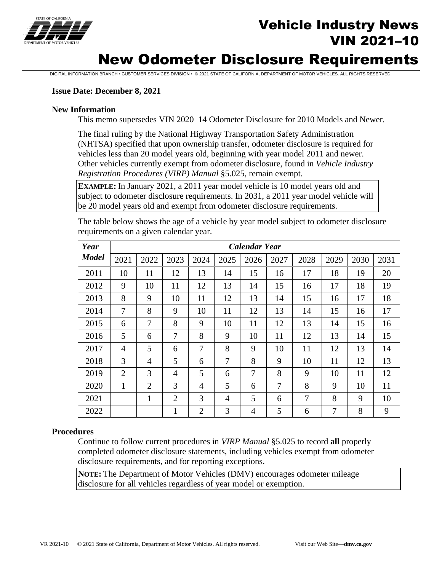

# Vehicle Industry News VIN 2021–10

# New Odometer Disclosure Requirements

DIGITAL INFORMATION BRANCH • CUSTOMER SERVICES DIVISION • © 2021 STATE OF CALIFORNIA, DEPARTMENT OF MOTOR VEHICLES. ALL RIGHTS RESERVED.

#### **Issue Date: December 8, 2021**

#### **New Information**

This memo supersedes VIN 2020–14 Odometer Disclosure for 2010 Models and Newer.

The final ruling by the National Highway Transportation Safety Administration (NHTSA) specified that upon ownership transfer, odometer disclosure is required for vehicles less than 20 model years old, beginning with year model 2011 and newer. Other vehicles currently exempt from odometer disclosure, found in *Vehicle Industry Registration Procedures (VIRP) Manual* §5.025, remain exempt.

**EXAMPLE:** In January 2021, a 2011 year model vehicle is 10 model years old and subject to odometer disclosure requirements. In 2031, a 2011 year model vehicle will be 20 model years old and exempt from odometer disclosure requirements.

| Year         | <b>Calendar Year</b> |                |                |                |                |                |      |      |      |      |      |
|--------------|----------------------|----------------|----------------|----------------|----------------|----------------|------|------|------|------|------|
| <b>Model</b> | 2021                 | 2022           | 2023           | 2024           | 2025           | 2026           | 2027 | 2028 | 2029 | 2030 | 2031 |
| 2011         | 10                   | 11             | 12             | 13             | 14             | 15             | 16   | 17   | 18   | 19   | 20   |
| 2012         | 9                    | 10             | 11             | 12             | 13             | 14             | 15   | 16   | 17   | 18   | 19   |
| 2013         | 8                    | 9              | 10             | 11             | 12             | 13             | 14   | 15   | 16   | 17   | 18   |
| 2014         | 7                    | 8              | 9              | 10             | 11             | 12             | 13   | 14   | 15   | 16   | 17   |
| 2015         | 6                    | 7              | 8              | 9              | 10             | 11             | 12   | 13   | 14   | 15   | 16   |
| 2016         | 5                    | 6              | 7              | 8              | 9              | 10             | 11   | 12   | 13   | 14   | 15   |
| 2017         | 4                    | 5              | 6              | 7              | 8              | 9              | 10   | 11   | 12   | 13   | 14   |
| 2018         | 3                    | $\overline{4}$ | 5              | 6              | 7              | 8              | 9    | 10   | 11   | 12   | 13   |
| 2019         | $\overline{2}$       | 3              | $\overline{4}$ | 5              | 6              | 7              | 8    | 9    | 10   | 11   | 12   |
| 2020         | 1                    | $\overline{2}$ | 3              | $\overline{4}$ | 5              | 6              | 7    | 8    | 9    | 10   | 11   |
| 2021         |                      | $\mathbf{1}$   | $\overline{2}$ | 3              | $\overline{4}$ | 5              | 6    | 7    | 8    | 9    | 10   |
| 2022         |                      |                | $\mathbf{1}$   | $\overline{2}$ | 3              | $\overline{4}$ | 5    | 6    | 7    | 8    | 9    |

The table below shows the age of a vehicle by year model subject to odometer disclosure requirements on a given calendar year.

#### **Procedures**

Continue to follow current procedures in *VIRP Manual* §5.025 to record **all** properly completed odometer disclosure statements, including vehicles exempt from odometer disclosure requirements, and for reporting exceptions.

**NOTE:** The Department of Motor Vehicles (DMV) encourages odometer mileage disclosure for all vehicles regardless of year model or exemption.